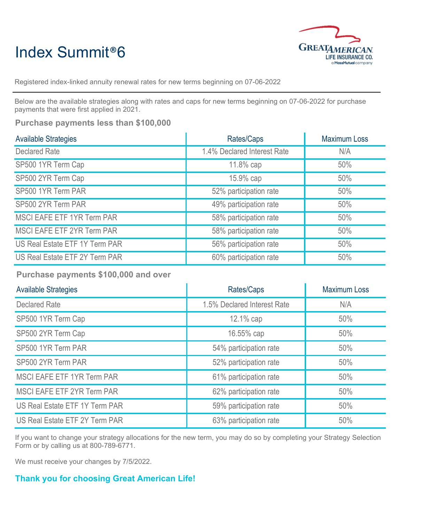## Index Summit®6



Registered index-linked annuity renewal rates for new terms beginning on 07-06-2022

Below are the available strategies along with rates and caps for new terms beginning on 07-06-2022 for purchase payments that were first applied in 2021.

## **Purchase payments less than \$100,000**

| <b>Available Strategies</b>       | Rates/Caps                  | <b>Maximum Loss</b> |
|-----------------------------------|-----------------------------|---------------------|
| <b>Declared Rate</b>              | 1.4% Declared Interest Rate | N/A                 |
| SP500 1YR Term Cap                | 11.8% cap                   | 50%                 |
| SP500 2YR Term Cap                | 15.9% cap                   | 50%                 |
| SP500 1YR Term PAR                | 52% participation rate      | 50%                 |
| SP500 2YR Term PAR                | 49% participation rate      | 50%                 |
| <b>MSCI EAFE ETF 1YR Term PAR</b> | 58% participation rate      | 50%                 |
| MSCI EAFE ETF 2YR Term PAR        | 58% participation rate      | 50%                 |
| US Real Estate ETF 1Y Term PAR    | 56% participation rate      | 50%                 |
| US Real Estate ETF 2Y Term PAR    | 60% participation rate      | 50%                 |

**Purchase payments \$100,000 and over**

| <b>Available Strategies</b>       | Rates/Caps                  | <b>Maximum Loss</b> |
|-----------------------------------|-----------------------------|---------------------|
| <b>Declared Rate</b>              | 1.5% Declared Interest Rate | N/A                 |
| SP500 1YR Term Cap                | 12.1% cap                   | 50%                 |
| SP500 2YR Term Cap                | 16.55% cap                  | 50%                 |
| SP500 1YR Term PAR                | 54% participation rate      | 50%                 |
| SP500 2YR Term PAR                | 52% participation rate      | 50%                 |
| <b>MSCI EAFE ETF 1YR Term PAR</b> | 61% participation rate      | 50%                 |
| <b>MSCI EAFE ETF 2YR Term PAR</b> | 62% participation rate      | 50%                 |
| US Real Estate ETF 1Y Term PAR    | 59% participation rate      | 50%                 |
| US Real Estate ETF 2Y Term PAR    | 63% participation rate      | 50%                 |

If you want to change your strategy allocations for the new term, you may do so by completing your Strategy Selection Form or by calling us at 800-789-6771.

We must receive your changes by 7/5/2022.

## **Thank you for choosing Great American Life!**